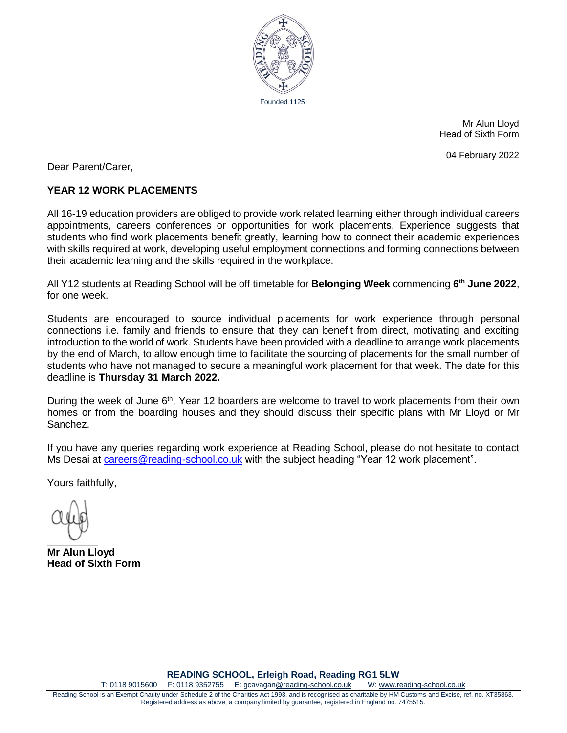

Mr Alun Lloyd Head of Sixth Form

04 February 2022

Dear Parent/Carer,

## **YEAR 12 WORK PLACEMENTS**

All 16-19 education providers are obliged to provide work related learning either through individual careers appointments, careers conferences or opportunities for work placements. Experience suggests that students who find work placements benefit greatly, learning how to connect their academic experiences with skills required at work, developing useful employment connections and forming connections between their academic learning and the skills required in the workplace.

All Y12 students at Reading School will be off timetable for **Belonging Week** commencing **6 th June 2022**, for one week.

Students are encouraged to source individual placements for work experience through personal connections i.e. family and friends to ensure that they can benefit from direct, motivating and exciting introduction to the world of work. Students have been provided with a deadline to arrange work placements by the end of March, to allow enough time to facilitate the sourcing of placements for the small number of students who have not managed to secure a meaningful work placement for that week. The date for this deadline is **Thursday 31 March 2022.** 

During the week of June 6<sup>th</sup>, Year 12 boarders are welcome to travel to work placements from their own homes or from the boarding houses and they should discuss their specific plans with Mr Lloyd or Mr Sanchez.

If you have any queries regarding work experience at Reading School, please do not hesitate to contact Ms Desai at [careers@reading-school.co.uk](mailto:careers@reading-school.co.uk) with the subject heading "Year 12 work placement".

Yours faithfully,

**Mr Alun Lloyd Head of Sixth Form**